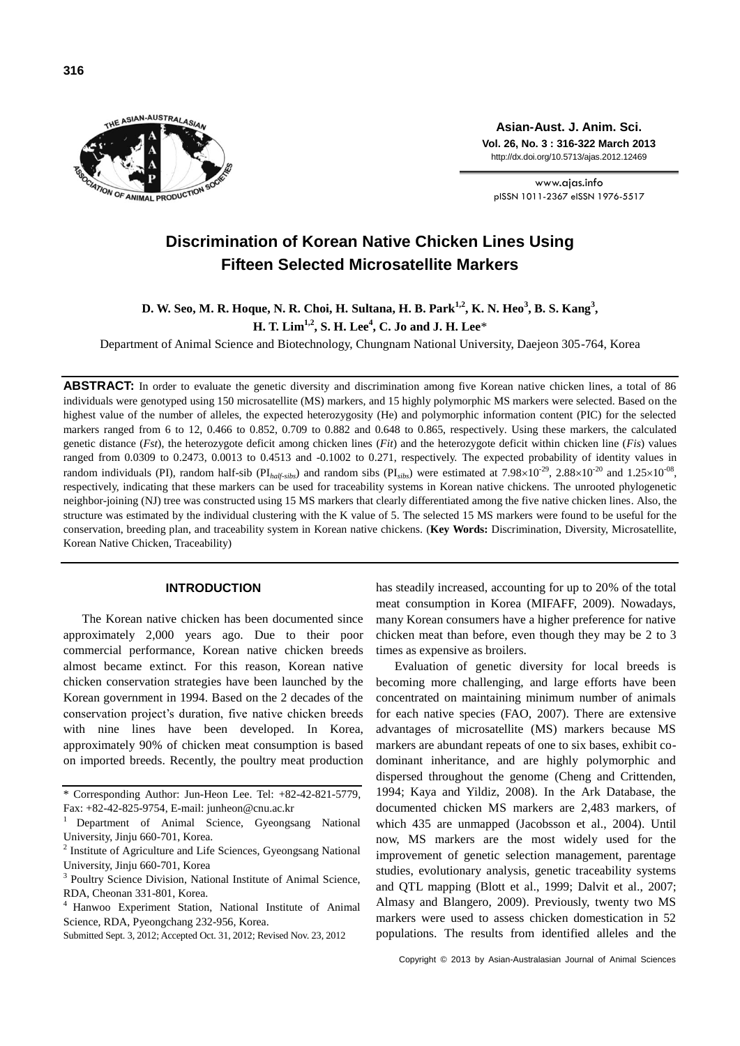

**Asian-Aust. J. Anim. Sci. Vol. 26, No. 3 : 316-322 March 2013** http://dx.doi.org/10.5713/ajas.2012.12469

www.ajas.info pISSN 1011-2367 eISSN 1976-5517

# **Discrimination of Korean Native Chicken Lines Using Fifteen Selected Microsatellite Markers**

**D. W. Seo, M. R. Hoque, N. R. Choi, H. Sultana, H. B. Park1,2 , K. N. Heo<sup>3</sup> , B. S. Kang<sup>3</sup> , H. T. Lim1,2 , S. H. Lee<sup>4</sup> , C. Jo and J. H. Lee**\*

Department of Animal Science and Biotechnology, Chungnam National University, Daejeon 305-764, Korea

**ABSTRACT:** In order to evaluate the genetic diversity and discrimination among five Korean native chicken lines, a total of 86 individuals were genotyped using 150 microsatellite (MS) markers, and 15 highly polymorphic MS markers were selected. Based on the highest value of the number of alleles, the expected heterozygosity (He) and polymorphic information content (PIC) for the selected markers ranged from 6 to 12, 0.466 to 0.852, 0.709 to 0.882 and 0.648 to 0.865, respectively. Using these markers, the calculated genetic distance (*Fst*), the heterozygote deficit among chicken lines (*Fit*) and the heterozygote deficit within chicken line (*Fis*) values ranged from 0.0309 to 0.2473, 0.0013 to 0.4513 and -0.1002 to 0.271, respectively. The expected probability of identity values in random individuals (PI), random half-sib (PI<sub>*half-sibs*) and random sibs (PI<sub>sibs</sub>) were estimated at 7.98×10<sup>-29</sup>, 2.88×10<sup>-20</sup> and 1.25×10<sup>-08</sup>,</sub> respectively, indicating that these markers can be used for traceability systems in Korean native chickens. The unrooted phylogenetic neighbor-joining (NJ) tree was constructed using 15 MS markers that clearly differentiated among the five native chicken lines. Also, the structure was estimated by the individual clustering with the K value of 5. The selected 15 MS markers were found to be useful for the conservation, breeding plan, and traceability system in Korean native chickens. (**Key Words:** Discrimination, Diversity, Microsatellite, Korean Native Chicken, Traceability)

## **INTRODUCTION**

The Korean native chicken has been documented since approximately 2,000 years ago. Due to their poor commercial performance, Korean native chicken breeds almost became extinct. For this reason, Korean native chicken conservation strategies have been launched by the Korean government in 1994. Based on the 2 decades of the conservation project's duration, five native chicken breeds with nine lines have been developed. In Korea, approximately 90% of chicken meat consumption is based on imported breeds. Recently, the poultry meat production has steadily increased, accounting for up to 20% of the total meat consumption in Korea (MIFAFF, 2009). Nowadays, many Korean consumers have a higher preference for native chicken meat than before, even though they may be 2 to 3 times as expensive as broilers.

Evaluation of genetic diversity for local breeds is becoming more challenging, and large efforts have been concentrated on maintaining minimum number of animals for each native species (FAO, 2007). There are extensive advantages of microsatellite (MS) markers because MS markers are abundant repeats of one to six bases, exhibit codominant inheritance, and are highly polymorphic and dispersed throughout the genome (Cheng and Crittenden, 1994; Kaya and Yildiz, 2008). In the Ark Database, the documented chicken MS markers are 2,483 markers, of which 435 are unmapped (Jacobsson et al., 2004). Until now, MS markers are the most widely used for the improvement of genetic selection management, parentage studies, evolutionary analysis, genetic traceability systems and QTL mapping (Blott et al., 1999; Dalvit et al., 2007; Almasy and Blangero, 2009). Previously, twenty two MS markers were used to assess chicken domestication in 52 populations. The results from identified alleles and the

Copyright © 2013 by Asian-Australasian Journal of Animal Sciences

<sup>\*</sup> Corresponding Author: Jun-Heon Lee. Tel: +82-42-821-5779, Fax: +82-42-825-9754, E-mail: junheon@cnu.ac.kr

<sup>1</sup> Department of Animal Science, Gyeongsang National University, Jinju 660-701, Korea.

<sup>&</sup>lt;sup>2</sup> Institute of Agriculture and Life Sciences, Gyeongsang National University, Jinju 660-701, Korea

<sup>&</sup>lt;sup>3</sup> Poultry Science Division, National Institute of Animal Science, RDA, Cheonan 331-801, Korea.

<sup>4</sup> Hanwoo Experiment Station, National Institute of Animal Science, RDA, Pyeongchang 232-956, Korea.

Submitted Sept. 3, 2012; Accepted Oct. 31, 2012; Revised Nov. 23, 2012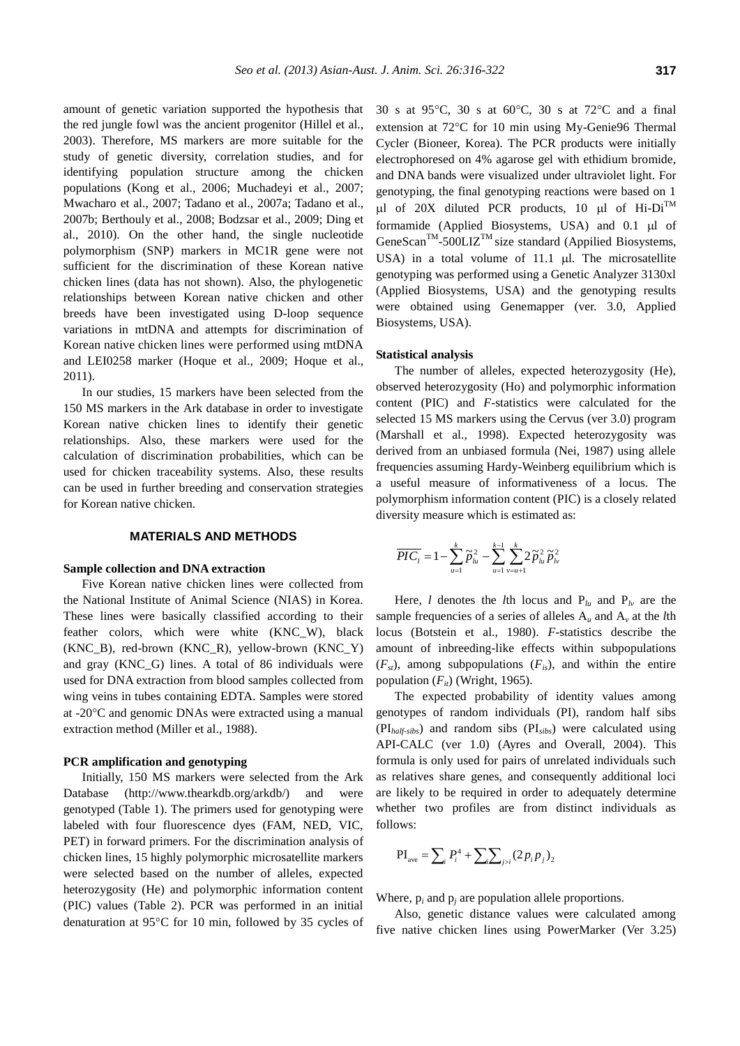amount of genetic variation supported the hypothesis that the red jungle fowl was the ancient progenitor (Hillel et al., 2003). Therefore, MS markers are more suitable for the study of genetic diversity, correlation studies, and for identifying population structure among the chicken populations (Kong et al., 2006; Muchadeyi et al., 2007; Mwacharo et al., 2007; Tadano et al., 2007a; Tadano et al., 2007b; Berthouly et al., 2008; Bodzsar et al., 2009; Ding et al., 2010). On the other hand, the single nucleotide polymorphism (SNP) markers in MC1R gene were not sufficient for the discrimination of these Korean native chicken lines (data has not shown). Also, the phylogenetic relationships between Korean native chicken and other breeds have been investigated using D-loop sequence variations in mtDNA and attempts for discrimination of Korean native chicken lines were performed using mtDNA and LEI0258 marker (Hoque et al., 2009; Hoque et al., 2011).

In our studies, 15 markers have been selected from the 150 MS markers in the Ark database in order to investigate Korean native chicken lines to identify their genetic relationships. Also, these markers were used for the calculation of discrimination probabilities, which can be used for chicken traceability systems. Also, these results can be used in further breeding and conservation strategies for Korean native chicken.

## **MATERIALS AND METHODS**

# **Sample collection and DNA extraction**

Five Korean native chicken lines were collected from the National Institute of Animal Science (NIAS) in Korea. These lines were basically classified according to their feather colors, which were white (KNC\_W), black (KNC\_B), red-brown (KNC\_R), yellow-brown (KNC\_Y) and gray (KNC\_G) lines. A total of 86 individuals were used for DNA extraction from blood samples collected from wing veins in tubes containing EDTA. Samples were stored at -20C and genomic DNAs were extracted using a manual extraction method (Miller et al., 1988).

### **PCR amplification and genotyping**

Initially, 150 MS markers were selected from the Ark Database (http://www.thearkdb.org/arkdb/) and were genotyped (Table 1). The primers used for genotyping were labeled with four fluorescence dyes (FAM, NED, VIC, PET) in forward primers. For the discrimination analysis of chicken lines, 15 highly polymorphic microsatellite markers were selected based on the number of alleles, expected heterozygosity (He) and polymorphic information content (PIC) values (Table 2). PCR was performed in an initial denaturation at  $95^{\circ}$ C for 10 min, followed by 35 cycles of 30 s at 95 $\degree$ C, 30 s at 60 $\degree$ C, 30 s at 72 $\degree$ C and a final extension at 72°C for 10 min using My-Genie96 Thermal Cycler (Bioneer, Korea). The PCR products were initially electrophoresed on 4% agarose gel with ethidium bromide, and DNA bands were visualized under ultraviolet light. For genotyping, the final genotyping reactions were based on 1  $\mu$ l of 20X diluted PCR products, 10  $\mu$ l of Hi-Di<sup>TM</sup> formamide (Applied Biosystems, USA) and  $0.1$  µl of  $GeneScan<sup>TM</sup> - 500LLZ<sup>TM</sup> size standard (Applied Biosystems,$ USA) in a total volume of  $11.1$   $\mu$ . The microsatellite genotyping was performed using a Genetic Analyzer 3130xl (Applied Biosystems, USA) and the genotyping results were obtained using Genemapper (ver. 3.0, Applied Biosystems, USA).

#### **Statistical analysis**

The number of alleles, expected heterozygosity (He), observed heterozygosity (Ho) and polymorphic information content (PIC) and *F-*statistics were calculated for the selected 15 MS markers using the Cervus (ver 3.0) program (Marshall et al., 1998). Expected heterozygosity was derived from an unbiased formula (Nei, 1987) using allele frequencies assuming Hardy-Weinberg equilibrium which is a useful measure of informativeness of a locus. The polymorphism information content (PIC) is a closely related diversity measure which is estimated as:

$$
\overline{PIC_l} = 1 - \sum_{u=1}^{k} \widetilde{p}_{lu}^2 - \sum_{u=1}^{k-1} \sum_{v=u+1}^{k} 2 \widetilde{p}_{lu}^2 \widetilde{p}_{lv}^2
$$

Here, *l* denotes the *l*th locus and  $P_{lu}$  and  $P_{lv}$  are the sample frequencies of a series of alleles  $A_u$  and  $A_v$  at the *l*th locus (Botstein et al., 1980). *F*-statistics describe the amount of inbreeding-like effects within subpopulations  $(F_{st})$ , among subpopulations  $(F_{is})$ , and within the entire population  $(F_{it})$  (Wright, 1965).

The expected probability of identity values among genotypes of random individuals (PI), random half sibs (PI*half-sibs*) and random sibs (PI*sibs*) were calculated using API-CALC (ver 1.0) (Ayres and Overall, 2004). This formula is only used for pairs of unrelated individuals such as relatives share genes, and consequently additional loci are likely to be required in order to adequately determine whether two profiles are from distinct individuals as follows:

$$
PI_{ave} = \sum_{i} P_{i}^{4} + \sum_{i} \sum_{j>i} (2 p_{i} p_{j})_{2}
$$

Where,  $p_i$  and  $p_j$  are population allele proportions.

Also, genetic distance values were calculated among five native chicken lines using PowerMarker (Ver 3.25)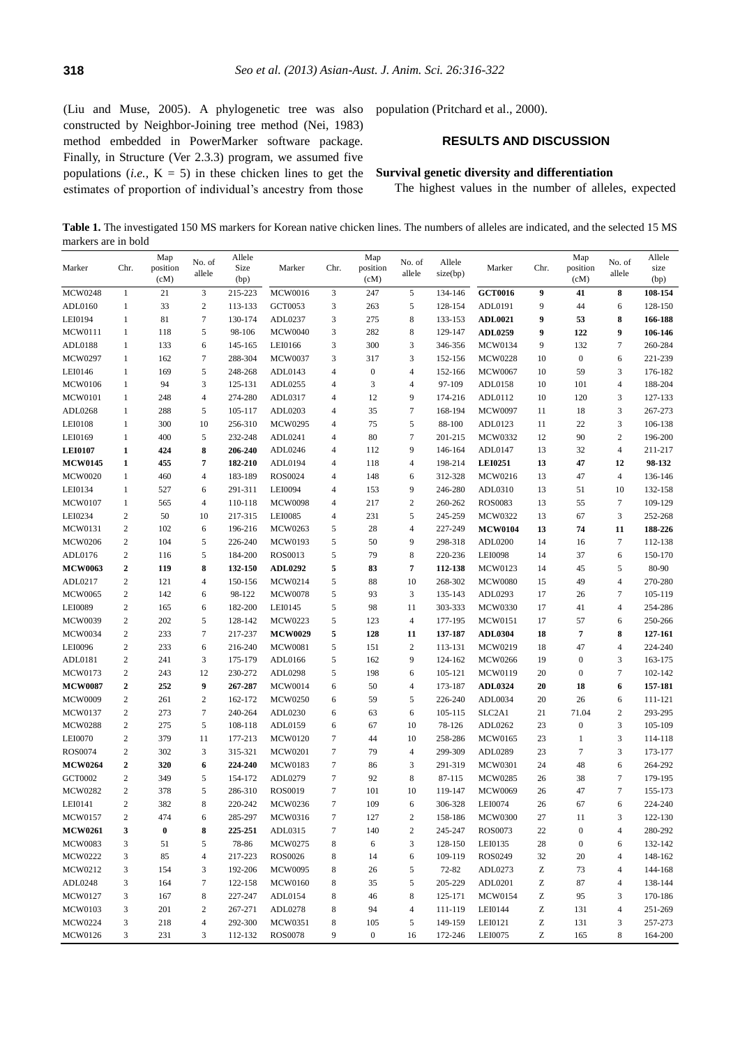(Liu and Muse, 2005). A phylogenetic tree was also population (Pritchard et al., 2000). constructed by Neighbor-Joining tree method (Nei, 1983) method embedded in PowerMarker software package. Finally, in Structure (Ver 2.3.3) program, we assumed five populations (*i.e.*,  $K = 5$ ) in these chicken lines to get the estimates of proportion of individual's ancestry from those

# **RESULTS AND DISCUSSION**

## **Survival genetic diversity and differentiation**

The highest values in the number of alleles, expected

**Table 1.** The investigated 150 MS markers for Korean native chicken lines. The numbers of alleles are indicated, and the selected 15 MS markers are in bold

| Marker         | Chr.           | Map<br>position<br>(cM) | No. of<br>allele         | Allele<br>Size<br>(bp) | Marker         | Chr.             | Map<br>position<br>(cM) | No. of<br>allele         | Allele<br>size(bp) | Marker         | Chr.                                                  | Map<br>position<br>(cM) | No. of<br>allele          | Allele<br>size<br>(bp) |
|----------------|----------------|-------------------------|--------------------------|------------------------|----------------|------------------|-------------------------|--------------------------|--------------------|----------------|-------------------------------------------------------|-------------------------|---------------------------|------------------------|
| <b>MCW0248</b> | $\mathbf{1}$   | 21                      | $\mathfrak{Z}$           | 215-223                | <b>MCW0016</b> | 3                | 247                     | 5                        | 134-146            | <b>GCT0016</b> | 9                                                     | 41                      | 8                         | 108-154                |
| ADL0160        | $\mathbf{1}$   | 33                      | $\sqrt{2}$               | 113-133                | GCT0053        | 3                | 263                     | 5                        | 128-154            | ADL0191        | 9                                                     | 44                      | 6                         | 128-150                |
| LEI0194        | $\mathbf{1}$   | 81                      | $\boldsymbol{7}$         | 130-174                | ADL0237        | 3                | 275                     | $\,$ 8 $\,$              | 133-153            | <b>ADL0021</b> | 9                                                     | 53                      | 8                         | 166-188                |
| <b>MCW0111</b> | $\mathbf{1}$   | 118                     | 5                        | 98-106                 | <b>MCW0040</b> | 3                | 282                     | 8                        | 129-147            | <b>ADL0259</b> | 9                                                     | 122                     | 9                         | 106-146                |
| ADL0188        | 1              | 133                     | 6                        | 145-165                | LEI0166        | 3                | 300                     | 3                        | 346-356            | <b>MCW0134</b> | 9                                                     | 132                     | $\tau$                    | 260-284                |
| <b>MCW0297</b> | $\mathbf{1}$   | 162                     | $\boldsymbol{7}$         | 288-304                | <b>MCW0037</b> | 3                | 317                     | 3                        | 152-156            | <b>MCW0228</b> | 10                                                    | $\boldsymbol{0}$        | 6                         | 221-239                |
| LEI0146        | $\mathbf{1}$   | 169                     | 5                        | 248-268                | ADL0143        | $\overline{4}$   | $\boldsymbol{0}$        | $\overline{\mathcal{L}}$ | 152-166            | <b>MCW0067</b> | 10                                                    | 59                      | 3                         | 176-182                |
| <b>MCW0106</b> | 1              | 94                      | 3                        | 125-131                | ADL0255        | 4                | 3                       | 4                        | 97-109             | ADL0158        | 10                                                    | 101                     | $\overline{4}$            | 188-204                |
| <b>MCW0101</b> | 1              | 248                     | $\overline{4}$           | 274-280                | ADL0317        | $\overline{4}$   | 12                      | 9                        | 174-216            | ADL0112        | 10                                                    | 120                     | 3                         | 127-133                |
| ADL0268        | $\mathbf{1}$   | 288                     | 5                        | 105-117                | ADL0203        | $\overline{4}$   | 35                      | 7                        | 168-194            | <b>MCW0097</b> | 11                                                    | 18                      | 3                         | 267-273                |
| LEI0108        | $\mathbf{1}$   | 300                     | 10                       | 256-310                | <b>MCW0295</b> | $\overline{4}$   | 75                      | 5                        | 88-100             | ADL0123        | 11                                                    | 22                      | 3                         | 106-138                |
| LEI0169        | $\mathbf{1}$   | 400                     | 5                        | 232-248                | ADL0241        | $\overline{4}$   | 80                      | $\tau$                   | 201-215            | <b>MCW0332</b> | 12                                                    | 90                      | $\sqrt{2}$                | 196-200                |
| <b>LEI0107</b> | $\mathbf{1}$   | 424                     | 8                        | 206-240                | ADL0246        | $\overline{4}$   | 112                     | 9                        | 146-164            | ADL0147        | 13                                                    | 32                      | $\overline{4}$            | 211-217                |
| <b>MCW0145</b> | $\mathbf{1}$   | 455                     | 7                        | 182-210                | ADL0194        | $\overline{4}$   | 118                     | 4                        | 198-214            | <b>LEI0251</b> | 13                                                    | 47                      | 12                        | 98-132                 |
| <b>MCW0020</b> | $\mathbf{1}$   | 460                     | $\overline{4}$           | 183-189                | ROS0024        | 4                | 148                     | 6                        | 312-328            | MCW0216        | 13                                                    | 47                      | $\overline{4}$            | 136-146                |
| LEI0134        | $\mathbf{1}$   | 527                     | 6                        | 291-311                | LEI0094        | $\overline{4}$   | 153                     | 9                        | 246-280            | ADL0310        | 13                                                    | 51                      | 10                        | 132-158                |
| <b>MCW0107</b> | $\mathbf{1}$   | 565                     | $\overline{4}$           | 110-118                | <b>MCW0098</b> | 4                | 217                     | $\overline{c}$           | 260-262            | <b>ROS0083</b> | 13                                                    | 55                      | $\boldsymbol{7}$          | 109-129                |
| LEI0234        | $\mathfrak{2}$ | 50                      | 10                       | 217-315                | <b>LEI0085</b> | 4                | 231                     | 5                        | 245-259            | <b>MCW0322</b> | 13                                                    | 67                      | 3                         | 252-268                |
| <b>MCW0131</b> | $\sqrt{2}$     | 102                     | 6                        | 196-216                | MCW0263        | 5                | 28                      | $\overline{4}$           | 227-249            | <b>MCW0104</b> | 13                                                    | 74                      | 11                        | 188-226                |
| <b>MCW0206</b> | $\sqrt{2}$     | 104                     | 5                        | 226-240                | <b>MCW0193</b> | 5                | 50                      | 9                        | 298-318            | ADL0200        | 14                                                    | 16                      | $7\phantom{.0}$           | 112-138                |
| ADL0176        | $\sqrt{2}$     | 116                     | 5                        | 184-200                | ROS0013        | 5                | 79                      | 8                        | 220-236            | <b>LEI0098</b> | 14                                                    | 37                      | 6                         | 150-170                |
| <b>MCW0063</b> | $\overline{2}$ | 119                     | 8                        | 132-150                | <b>ADL0292</b> | 5                | 83                      | $\overline{7}$           | 112-138            | <b>MCW0123</b> | 14                                                    | 45                      | 5                         | 80-90                  |
| ADL0217        | $\sqrt{2}$     | 121                     | $\overline{4}$           | 150-156                | MCW0214        | 5                | 88                      | 10                       | 268-302            | <b>MCW0080</b> | 15                                                    | 49                      | $\overline{4}$            | 270-280                |
| <b>MCW0065</b> | $\sqrt{2}$     | 142                     | 6                        | 98-122                 | <b>MCW0078</b> | 5                | 93                      | 3                        | 135-143            | ADL0293        | 17                                                    | 26                      | $\tau$                    | 105-119                |
| <b>LEI0089</b> | $\sqrt{2}$     | 165                     | 6                        | 182-200                | LEI0145        | 5                | 98                      | 11                       | 303-333            | <b>MCW0330</b> | 17                                                    | 41                      | $\overline{4}$            | 254-286                |
| <b>MCW0039</b> | $\sqrt{2}$     | 202                     | 5                        | 128-142                | <b>MCW0223</b> | 5                | 123                     | 4                        | 177-195            | <b>MCW0151</b> | 17                                                    | 57                      | 6                         | 250-266                |
| <b>MCW0034</b> | $\sqrt{2}$     | 233                     | $\boldsymbol{7}$         | 217-237                | <b>MCW0029</b> | 5                | 128                     | 11                       | 137-187            | <b>ADL0304</b> | 18                                                    | $\overline{7}$          | 8                         | 127-161                |
| LEI0096        | $\sqrt{2}$     | 233                     | 6                        | 216-240                | <b>MCW0081</b> | 5                | 151                     | $\sqrt{2}$               | 113-131            | MCW0219        | 18                                                    | 47                      | $\overline{4}$            | 224-240                |
| ADL0181        | $\sqrt{2}$     | 241                     | 3                        | 175-179                | ADL0166        | 5                | 162                     | 9                        | 124-162            | <b>MCW0266</b> | 19                                                    | $\boldsymbol{0}$        | $\mathfrak{Z}$            | 163-175                |
| <b>MCW0173</b> | $\mathbf{2}$   | 243                     | 12                       | 230-272                | ADL0298        | 5                | 198                     | 6                        | 105-121            | <b>MCW0119</b> | 20                                                    | $\mathbf{0}$            | $\tau$                    | 102-142                |
| <b>MCW0087</b> | $\overline{2}$ | 252                     | 9                        | 267-287                | <b>MCW0014</b> | 6                | 50                      | 4                        | 173-187            | <b>ADL0324</b> | 20                                                    | 18                      | 6                         | 157-181                |
| <b>MCW0009</b> | $\sqrt{2}$     | 261                     | $\sqrt{2}$               | 162-172                | <b>MCW0250</b> | 6                | 59                      | 5                        | 226-240            | ADL0034        | 20                                                    | 26                      | 6                         | 111-121                |
| <b>MCW0137</b> | $\mathbf{2}$   | 273                     | $\tau$                   | 240-264                | ADL0230        | 6                | 63                      | 6                        | 105-115            | SLC2A1         | 21                                                    | 71.04                   | $\mathbf{2}$              | 293-295                |
| <b>MCW0288</b> | $\mathbf{2}$   | 275                     | 5                        | 108-118                | ADL0159        | 6                | 67                      | 10                       | 78-126             | ADL0262        | 23                                                    | $\boldsymbol{0}$        | 3                         | 105-109                |
| LEI0070        | $\sqrt{2}$     | 379                     | 11                       | 177-213                | <b>MCW0120</b> | $\tau$           | 44                      | 10                       | 258-286            | <b>MCW0165</b> | 23                                                    | 1                       | 3                         | 114-118                |
| <b>ROS0074</b> | $\sqrt{2}$     | 302                     | 3                        | 315-321                | <b>MCW0201</b> | $\boldsymbol{7}$ | 79                      | 4                        | 299-309            | ADL0289        | 23                                                    | $\tau$                  | 3                         | 173-177                |
| <b>MCW0264</b> | $\overline{2}$ | 320                     | 6                        | 224-240                | <b>MCW0183</b> | $\tau$           | 86                      | 3                        | 291-319            | <b>MCW0301</b> | 24                                                    | 48                      | 6                         | 264-292                |
| GCT0002        | $\mathbf{2}$   | 349                     | 5                        | 154-172                | ADL0279        | $\tau$           | 92                      | 8                        | 87-115             | <b>MCW0285</b> | 26                                                    | 38                      | $\tau$                    | 179-195                |
| <b>MCW0282</b> | $\sqrt{2}$     | 378                     | 5                        | 286-310                | <b>ROS0019</b> | $\tau$           | 101                     | 10                       | 119-147            | <b>MCW0069</b> | 26                                                    | 47                      | $\tau$                    | 155-173                |
| LEI0141        | $\mathbf{2}$   | 382                     | 8                        | 220-242                | <b>MCW0236</b> | $\tau$           | 109                     | 6                        | 306-328            | LEI0074        | 26                                                    | 67                      | 6                         | 224-240                |
| <b>MCW0157</b> | $\overline{c}$ | 474                     | 6                        | 285-297                | MCW0316        | 7                | 127                     | $\boldsymbol{2}$         | 158-186            | <b>MCW0300</b> | 27                                                    | 11                      | $\ensuremath{\mathsf{3}}$ | 122-130                |
| <b>MCW0261</b> | 3              | $\pmb{0}$               | 8                        | 225-251                | ADL0315        | 7                | 140                     | $\sqrt{2}$               | 245-247            | ROS0073        | 22                                                    | $\boldsymbol{0}$        | 4                         | 280-292                |
| <b>MCW0083</b> | 3              | 51                      | 5                        | 78-86                  | MCW0275        | 8                | 6                       | 3                        | 128-150            | LEI0135        | 28                                                    | $\boldsymbol{0}$        | 6                         | 132-142                |
| MCW0222        | 3              | 85                      | $\overline{4}$           | 217-223                | ROS0026        | 8                | 14                      | 6                        | 109-119            | ROS0249        | 32                                                    | 20                      | 4                         | 148-162                |
| MCW0212        | 3              | 154                     | 3                        | 192-206                | <b>MCW0095</b> | 8                | 26                      | 5                        | 72-82              | ADL0273        | Z                                                     | 73                      | 4                         | 144-168                |
| ADL0248        | 3              | 164                     | 7                        | 122-158                | <b>MCW0160</b> | 8                | 35                      | 5                        | 205-229            | ADL0201        | Z                                                     | 87                      | 4                         | 138-144                |
| MCW0127        | 3              | 167                     | 8                        | 227-247                | ADL0154        | 8                | 46                      | 8                        | 125-171            | <b>MCW0154</b> | $\mathbf{Z}% ^{T}=\mathbf{Z}^{T}\times\mathbf{Z}^{T}$ | 95                      | 3                         | 170-186                |
| <b>MCW0103</b> | 3              | 201                     | $\boldsymbol{2}$         | 267-271                | ADL0278        | 8                | 94                      | 4                        | 111-119            | LEI0144        | Z                                                     | 131                     | $\overline{\mathcal{A}}$  | 251-269                |
| <b>MCW0224</b> | 3              | 218                     | $\overline{\mathcal{A}}$ | 292-300                | <b>MCW0351</b> | 8                | 105                     | 5                        | 149-159            | LEI0121        | Z                                                     | 131                     | $\ensuremath{\mathsf{3}}$ | 257-273                |
| <b>MCW0126</b> | 3              | 231                     | 3                        | 112-132                | <b>ROS0078</b> | 9                | $\boldsymbol{0}$        | 16                       | 172-246            | LEI0075        | $\mathbf{Z}% ^{T}=\mathbf{Z}^{T}\times\mathbf{Z}^{T}$ | 165                     | $\,$ 8 $\,$               | 164-200                |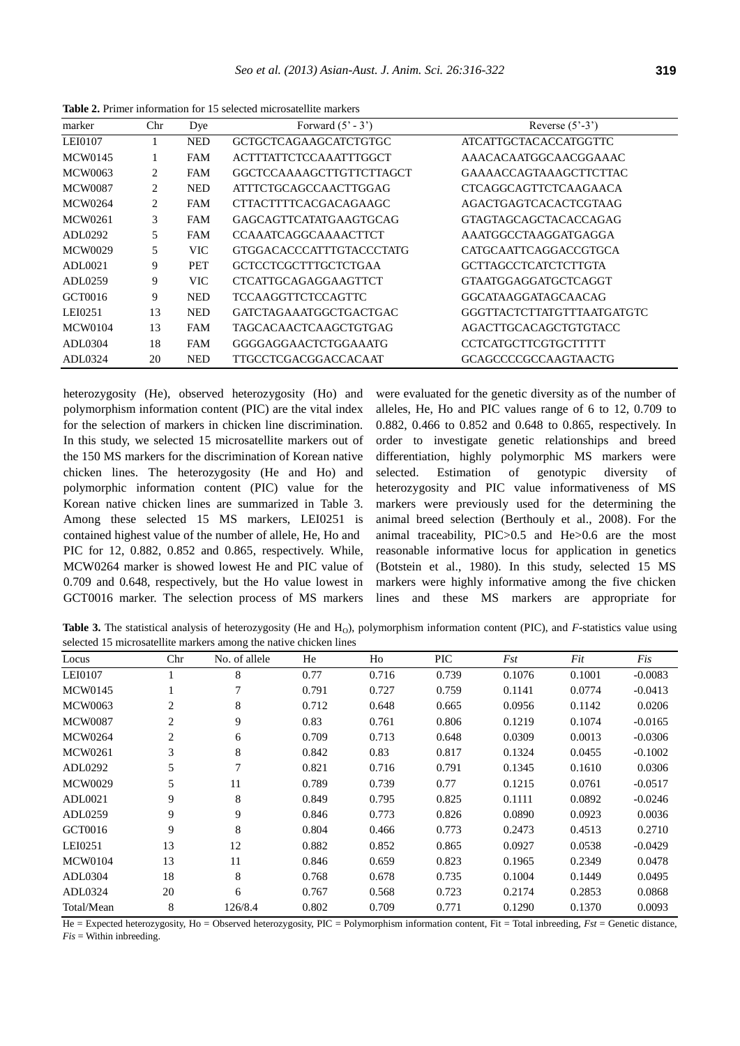| marker         | Chr | Dye        | Forward $(5' - 3')$           | Reverse $(5^{\degree}-3^{\degree})$ |
|----------------|-----|------------|-------------------------------|-------------------------------------|
| <b>LEI0107</b> |     | <b>NED</b> | GCTGCTCAGAAGCATCTGTGC         | <b>ATCATTGCTACACCATGGTTC</b>        |
| <b>MCW0145</b> | 1   | FAM        | <b>ACTTTATTCTCCAAATTTGGCT</b> | AAACACAATGGCAACGGAAAC               |
| <b>MCW0063</b> | 2   | <b>FAM</b> | GGCTCCAAAAGCTTGTTCTTAGCT      | GAAAACCAGTAAAGCTTCTTAC              |
| <b>MCW0087</b> | 2   | <b>NED</b> | ATTTCTGCAGCCAACTTGGAG         | <b>CTCAGGCAGTTCTCAAGAACA</b>        |
| MCW0264        | 2   | FAM        | CTTACTTTTCACGACAGAAGC         | AGACTGAGTCACACTCGTAAG               |
| <b>MCW0261</b> | 3   | FAM        | GAGCAGTTCATATGAAGTGCAG        | GTAGTAGCAGCTACACCAGAG               |
| ADL0292        | 5   | FAM        | <b>CCAAATCAGGCAAAACTTCT</b>   | AAATGGCCTAAGGATGAGGA                |
| <b>MCW0029</b> | 5   | <b>VIC</b> | GTGGACACCCATTTGTACCCTATG      | CATGCA ATTCA GGA CCGTGCA            |
| ADL0021        | 9   | <b>PET</b> | <b>GCTCCTCGCTTTGCTCTGAA</b>   | <b>GCTTAGCCTCATCTCTTGTA</b>         |
| ADL0259        | 9   | VIC.       | <b>CTCATTGCAGAGGAAGTTCT</b>   | GTAATGGAGGATGCTCAGGT                |
| GCT0016        | 9   | <b>NED</b> | <b>TCCAAGGTTCTCCAGTTC</b>     | GGCATAAGGATAGCAACAG                 |
| LEI0251        | 13  | <b>NED</b> | <b>GATCTAGAAATGGCTGACTGAC</b> | GGGTTACTCTTATGTTTAATGATGTC          |
| <b>MCW0104</b> | 13  | FAM        | <b>TAGCACAACTCAAGCTGTGAG</b>  | AGACTTGCACAGCTGTGTACC               |
| ADL0304        | 18  | FAM        | GGGGAGGAACTCTGGAAATG          | CCTCATGCTTCGTGCTTTTT                |
| ADL0324        | 20  | <b>NED</b> | <b>TTGCCTCGACGGACCACAAT</b>   | <b>GCAGCCCCGCCAAGTAACTG</b>         |

**Table 2.** Primer information for 15 selected microsatellite markers

heterozygosity (He), observed heterozygosity (Ho) and polymorphism information content (PIC) are the vital index for the selection of markers in chicken line discrimination. In this study, we selected 15 microsatellite markers out of the 150 MS markers for the discrimination of Korean native chicken lines. The heterozygosity (He and Ho) and polymorphic information content (PIC) value for the Korean native chicken lines are summarized in Table 3. Among these selected 15 MS markers, LEI0251 is contained highest value of the number of allele, He, Ho and PIC for 12, 0.882, 0.852 and 0.865, respectively. While, MCW0264 marker is showed lowest He and PIC value of 0.709 and 0.648, respectively, but the Ho value lowest in GCT0016 marker. The selection process of MS markers

were evaluated for the genetic diversity as of the number of alleles, He, Ho and PIC values range of 6 to 12, 0.709 to 0.882, 0.466 to 0.852 and 0.648 to 0.865, respectively. In order to investigate genetic relationships and breed differentiation, highly polymorphic MS markers were selected. Estimation of genotypic diversity of heterozygosity and PIC value informativeness of MS markers were previously used for the determining the animal breed selection (Berthouly et al., 2008). For the animal traceability, PIC>0.5 and He>0.6 are the most reasonable informative locus for application in genetics (Botstein et al., 1980). In this study, selected 15 MS markers were highly informative among the five chicken lines and these MS markers are appropriate for

**Table 3.** The statistical analysis of heterozygosity (He and H<sub>O</sub>), polymorphism information content (PIC), and *F*-statistics value using selected 15 microsatellite markers among the native chicken lines

| Locus          | $_{\rm Chr}$   | No. of allele | He    | Ho    | <b>PIC</b> | Fst    | Fit    | Fis       |
|----------------|----------------|---------------|-------|-------|------------|--------|--------|-----------|
| <b>LEI0107</b> |                | 8             | 0.77  | 0.716 | 0.739      | 0.1076 | 0.1001 | $-0.0083$ |
| <b>MCW0145</b> |                | 7             | 0.791 | 0.727 | 0.759      | 0.1141 | 0.0774 | $-0.0413$ |
| <b>MCW0063</b> | $\overline{2}$ | 8             | 0.712 | 0.648 | 0.665      | 0.0956 | 0.1142 | 0.0206    |
| <b>MCW0087</b> | 2              | 9             | 0.83  | 0.761 | 0.806      | 0.1219 | 0.1074 | $-0.0165$ |
| <b>MCW0264</b> | 2              | 6             | 0.709 | 0.713 | 0.648      | 0.0309 | 0.0013 | $-0.0306$ |
| <b>MCW0261</b> | 3              | 8             | 0.842 | 0.83  | 0.817      | 0.1324 | 0.0455 | $-0.1002$ |
| ADL0292        | 5              | 7             | 0.821 | 0.716 | 0.791      | 0.1345 | 0.1610 | 0.0306    |
| <b>MCW0029</b> | 5              | 11            | 0.789 | 0.739 | 0.77       | 0.1215 | 0.0761 | $-0.0517$ |
| ADL0021        | 9              | 8             | 0.849 | 0.795 | 0.825      | 0.1111 | 0.0892 | $-0.0246$ |
| ADL0259        | 9              | 9             | 0.846 | 0.773 | 0.826      | 0.0890 | 0.0923 | 0.0036    |
| GCT0016        | 9              | 8             | 0.804 | 0.466 | 0.773      | 0.2473 | 0.4513 | 0.2710    |
| LEI0251        | 13             | 12            | 0.882 | 0.852 | 0.865      | 0.0927 | 0.0538 | $-0.0429$ |
| <b>MCW0104</b> | 13             | 11            | 0.846 | 0.659 | 0.823      | 0.1965 | 0.2349 | 0.0478    |
| ADL0304        | 18             | 8             | 0.768 | 0.678 | 0.735      | 0.1004 | 0.1449 | 0.0495    |
| ADL0324        | 20             | 6             | 0.767 | 0.568 | 0.723      | 0.2174 | 0.2853 | 0.0868    |
| Total/Mean     | 8              | 126/8.4       | 0.802 | 0.709 | 0.771      | 0.1290 | 0.1370 | 0.0093    |

He = Expected heterozygosity, Ho = Observed heterozygosity, PIC = Polymorphism information content, Fit = Total inbreeding, *Fst* = Genetic distance, *Fis* = Within inbreeding.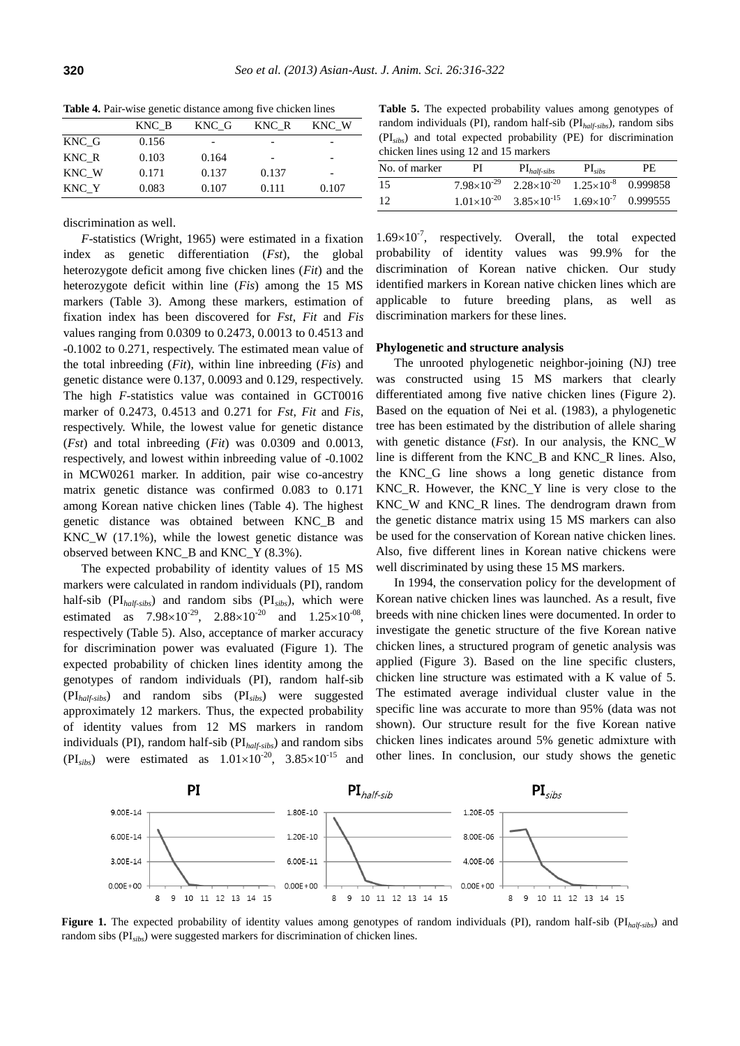|       | KNC B | KNC G | KNC R | KNC W |
|-------|-------|-------|-------|-------|
| KNC G | 0.156 |       |       |       |
| KNC R | 0.103 | 0.164 |       |       |
| KNC W | 0.171 | 0.137 | 0.137 | -     |
| KNC Y | 0.083 | 0.107 | 0.111 | 0.107 |

**Table 4.** Pair-wise genetic distance among five chicken lines

discrimination as well.

*F*-statistics (Wright, 1965) were estimated in a fixation index as genetic differentiation (*Fst*), the global heterozygote deficit among five chicken lines (*Fit*) and the heterozygote deficit within line (*Fis*) among the 15 MS markers (Table 3). Among these markers, estimation of fixation index has been discovered for *Fst*, *Fit* and *Fis* values ranging from 0.0309 to 0.2473, 0.0013 to 0.4513 and -0.1002 to 0.271, respectively. The estimated mean value of the total inbreeding (*Fit*), within line inbreeding (*Fis*) and genetic distance were 0.137, 0.0093 and 0.129, respectively. The high *F*-statistics value was contained in GCT0016 marker of 0.2473, 0.4513 and 0.271 for *Fst*, *Fit* and *Fis*, respectively. While, the lowest value for genetic distance (*Fst*) and total inbreeding (*Fit*) was 0.0309 and 0.0013, respectively, and lowest within inbreeding value of -0.1002 in MCW0261 marker. In addition, pair wise co-ancestry matrix genetic distance was confirmed 0.083 to 0.171 among Korean native chicken lines (Table 4). The highest genetic distance was obtained between KNC\_B and KNC\_W (17.1%), while the lowest genetic distance was observed between KNC\_B and KNC\_Y (8.3%).

The expected probability of identity values of 15 MS markers were calculated in random individuals (PI), random half-sib (PI*half-sibs*) and random sibs (PI*sibs*), which were estimated as  $7.98 \times 10^{-29}$ ,  $2.88 \times 10^{-20}$  and  $1.25 \times 10^{-08}$ , respectively (Table 5). Also, acceptance of marker accuracy for discrimination power was evaluated (Figure 1). The expected probability of chicken lines identity among the genotypes of random individuals (PI), random half-sib (PI*half-sibs*) and random sibs (PI*sibs*) were suggested approximately 12 markers. Thus, the expected probability of identity values from 12 MS markers in random individuals (PI), random half-sib (PI*half-sibs*) and random sibs (PI<sub>sibs</sub>) were estimated as  $1.01 \times 10^{-20}$ ,  $3.85 \times 10^{-15}$  and

**Table 5.** The expected probability values among genotypes of random individuals (PI), random half-sib (PI*half-sibs*), random sibs (PI*sibs*) and total expected probability (PE) for discrimination chicken lines using 12 and 15 markers

| No. of marker | РI                   | $\text{PI}_{\text{half-sibs}}$                        | $PI_{sibs}$                    | PE. |  |
|---------------|----------------------|-------------------------------------------------------|--------------------------------|-----|--|
| 15            | $7.98\times10^{-29}$ | $2.28\times10^{-20}$                                  | $1.25 \times 10^{-8}$ 0.999858 |     |  |
| 12            | $1.01\times10^{-20}$ | $3.85 \times 10^{-15}$ $1.69 \times 10^{-7}$ 0.999555 |                                |     |  |

 $1.69\times10^{-7}$ , respectively. Overall, the total expected probability of identity values was 99.9% for the discrimination of Korean native chicken. Our study identified markers in Korean native chicken lines which are applicable to future breeding plans, as well as discrimination markers for these lines.

### **Phylogenetic and structure analysis**

The unrooted phylogenetic neighbor-joining (NJ) tree was constructed using 15 MS markers that clearly differentiated among five native chicken lines (Figure 2). Based on the equation of Nei et al. (1983), a phylogenetic tree has been estimated by the distribution of allele sharing with genetic distance (*Fst*). In our analysis, the KNC\_W line is different from the KNC\_B and KNC\_R lines. Also, the KNC\_G line shows a long genetic distance from KNC\_R. However, the KNC\_Y line is very close to the KNC\_W and KNC\_R lines. The dendrogram drawn from the genetic distance matrix using 15 MS markers can also be used for the conservation of Korean native chicken lines. Also, five different lines in Korean native chickens were well discriminated by using these 15 MS markers.

In 1994, the conservation policy for the development of Korean native chicken lines was launched. As a result, five breeds with nine chicken lines were documented. In order to investigate the genetic structure of the five Korean native chicken lines, a structured program of genetic analysis was applied (Figure 3). Based on the line specific clusters, chicken line structure was estimated with a K value of 5. The estimated average individual cluster value in the specific line was accurate to more than 95% (data was not shown). Our structure result for the five Korean native chicken lines indicates around 5% genetic admixture with other lines. In conclusion, our study shows the genetic



**Figure 1.** The expected probability of identity values among genotypes of random individuals (PI), random half-sib (PI*half-sibs*) and random sibs (PI*sibs*) were suggested markers for discrimination of chicken lines.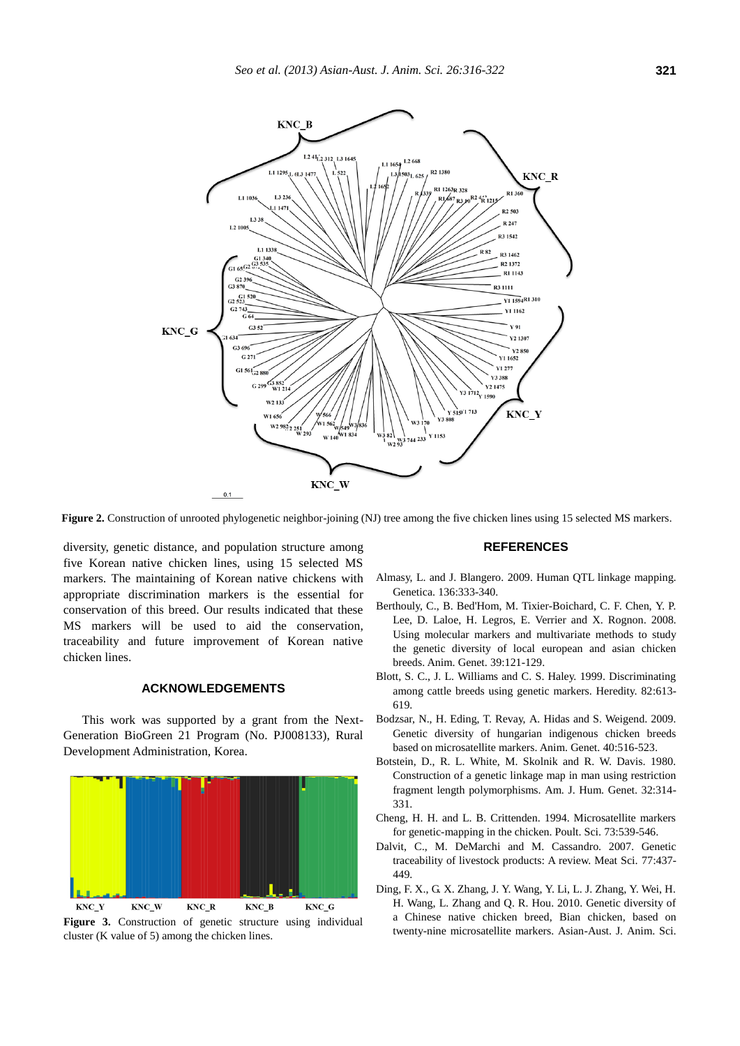

**Figure 2.** Construction of unrooted phylogenetic neighbor-joining (NJ) tree among the five chicken lines using 15 selected MS markers.

diversity, genetic distance, and population structure among five Korean native chicken lines, using 15 selected MS markers. The maintaining of Korean native chickens with appropriate discrimination markers is the essential for conservation of this breed. Our results indicated that these MS markers will be used to aid the conservation, traceability and future improvement of Korean native chicken lines.

# **ACKNOWLEDGEMENTS**

This work was supported by a grant from the Next-Generation BioGreen 21 Program (No. PJ008133), Rural Development Administration, Korea.



Figure 3. Construction of genetic structure using individual cluster (K value of 5) among the chicken lines.

#### **REFERENCES**

- Almasy, L. and J. Blangero. 2009. Human QTL linkage mapping. Genetica. 136:333-340.
- Berthouly, C., B. Bed'Hom, M. Tixier-Boichard, C. F. Chen, Y. P. Lee, D. Laloe, H. Legros, E. Verrier and X. Rognon. 2008. Using molecular markers and multivariate methods to study the genetic diversity of local european and asian chicken breeds. Anim. Genet. 39:121-129.
- Blott, S. C., J. L. Williams and C. S. Haley. 1999. Discriminating among cattle breeds using genetic markers. Heredity. 82:613- 619.
- Bodzsar, N., H. Eding, T. Revay, A. Hidas and S. Weigend. 2009. Genetic diversity of hungarian indigenous chicken breeds based on microsatellite markers. Anim. Genet. 40:516-523.
- Botstein, D., R. L. White, M. Skolnik and R. W. Davis. 1980. Construction of a genetic linkage map in man using restriction fragment length polymorphisms. Am. J. Hum. Genet. 32:314- 331.
- Cheng, H. H. and L. B. Crittenden. 1994. Microsatellite markers for genetic-mapping in the chicken. Poult. Sci. 73:539-546.
- Dalvit, C., M. DeMarchi and M. Cassandro. 2007. Genetic traceability of livestock products: A review. Meat Sci. 77:437- 449.
- Ding, F. X., G. X. Zhang, J. Y. Wang, Y. Li, L. J. Zhang, Y. Wei, H. H. Wang, L. Zhang and Q. R. Hou. 2010. Genetic diversity of a Chinese native chicken breed, Bian chicken, based on twenty-nine microsatellite markers. Asian-Aust. J. Anim. Sci.